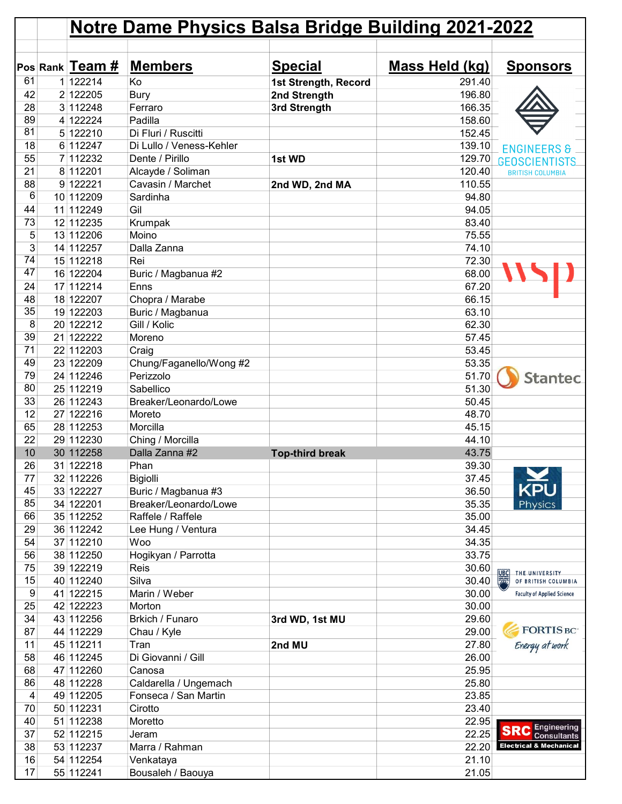|                |                 | <b>Notre Dame Physics Balsa Bridge Building 2021-2022</b> |                        |                |                                    |
|----------------|-----------------|-----------------------------------------------------------|------------------------|----------------|------------------------------------|
|                | Pos Rank Team # | <b>Members</b>                                            | <b>Special</b>         | Mass Held (kg) | <b>Sponsors</b>                    |
| 61             |                 |                                                           |                        |                |                                    |
|                | 1 122214        | Ko                                                        | 1st Strength, Record   | 291.40         |                                    |
| 42             | 2 122205        | <b>Bury</b>                                               | 2nd Strength           | 196.80         |                                    |
| 28             | 3 112248        | Ferraro                                                   | 3rd Strength           | 166.35         |                                    |
| 89<br>81       | 4 122224        | Padilla                                                   |                        | 158.60         |                                    |
|                | 5 122210        | Di Fluri / Ruscitti                                       |                        | 152.45         |                                    |
| 18             | 6 112247        | Di Lullo / Veness-Kehler                                  |                        | 139.10         | <b>ENGINEERS &amp;</b>             |
| 55             | 7 112232        | Dente / Pirillo                                           | 1st WD                 | 129.70         | <b>GEOSCIENTISTS</b>               |
| 21             | 8 112201        | Alcayde / Soliman                                         |                        | 120.40         | <b>BRITISH COLUMBIA</b>            |
| 88             | 9 122221        | Cavasin / Marchet                                         | 2nd WD, 2nd MA         | 110.55         |                                    |
| 6              | 10 112209       | Sardinha                                                  |                        | 94.80          |                                    |
| 44             | 11 112249       | Gil                                                       |                        | 94.05          |                                    |
| 73             | 12 112235       | Krumpak                                                   |                        | 83.40          |                                    |
| 5              | 13 112206       | Moino                                                     |                        | 75.55          |                                    |
| 3              | 14 112257       | Dalla Zanna                                               |                        | 74.10          |                                    |
| 74             | 15 112218       | Rei                                                       |                        | 72.30          |                                    |
| 47             | 16 122204       | Buric / Magbanua #2                                       |                        | 68.00          |                                    |
| 24             | 17 112214       | Enns                                                      |                        | 67.20          |                                    |
| 48             | 18 122207       | Chopra / Marabe                                           |                        | 66.15          |                                    |
| 35             | 19 122203       | Buric / Magbanua                                          |                        | 63.10          |                                    |
| $\overline{8}$ | 20 122212       | Gill / Kolic                                              |                        | 62.30          |                                    |
| 39             | 21 122222       | Moreno                                                    |                        | 57.45          |                                    |
| 71             | 22 112203       | Craig                                                     |                        | 53.45          |                                    |
| 49             | 23 122209       | Chung/Faganello/Wong #2                                   |                        | 53.35          |                                    |
| 79             | 24 112246       | Perizzolo                                                 |                        | 51.70          | <b>Stantec</b>                     |
| 80             | 25 112219       | Sabellico                                                 |                        | 51.30          |                                    |
| 33             | 26 112243       | Breaker/Leonardo/Lowe                                     |                        | 50.45          |                                    |
| 12             | 27 122216       | Moreto                                                    |                        | 48.70          |                                    |
| 65             | 28 112253       | Morcilla                                                  |                        | 45.15          |                                    |
| 22             | 29 112230       | Ching / Morcilla                                          |                        | 44.10          |                                    |
| 10             | 30 112258       | Dalla Zanna #2                                            | <b>Top-third break</b> | 43.75          |                                    |
| 26             | 31 122218       | Phan                                                      |                        | 39.30          | ¥                                  |
| 77             | 32 112226       | Bigiolli                                                  |                        | 37.45          |                                    |
| 45             | 33 122227       | Buric / Magbanua #3                                       |                        | 36.50          | <b>KPU</b>                         |
| 85             | 34 122201       | Breaker/Leonardo/Lowe                                     |                        | 35.35          | Physics                            |
| 66             | 35 112252       | Raffele / Raffele                                         |                        | 35.00          |                                    |
| 29             | 36 112242       | Lee Hung / Ventura                                        |                        | 34.45          |                                    |
| 54             | 37 112210       | Woo                                                       |                        | 34.35          |                                    |
| 56             | 38 112250       | Hogikyan / Parrotta                                       |                        | 33.75          |                                    |
| 75             | 39 122219       | Reis                                                      |                        | 30.60          | <b>UBC</b><br>THE UNIVERSITY       |
| 15             | 40 112240       | Silva                                                     |                        | 30.40          | 新<br>OF BRITISH COLUMBIA           |
| 9              | 41 122215       | Marin / Weber                                             |                        | 30.00          | <b>Faculty of Applied Science</b>  |
| 25             | 42 122223       | Morton                                                    |                        | 30.00          |                                    |
| 34             | 43 112256       | Brkich / Funaro                                           | 3rd WD, 1st MU         | 29.60          |                                    |
| 87             | 44 112229       | Chau / Kyle                                               |                        | 29.00          | <b>FORTIS BC</b>                   |
| 11             | 45 112211       | Tran                                                      | 2nd MU                 | 27.80          | Energy at work                     |
| 58             | 46 112245       | Di Giovanni / Gill                                        |                        | 26.00          |                                    |
| 68             | 47 112260       | Canosa                                                    |                        | 25.95          |                                    |
| 86             | 48 112228       | Caldarella / Ungemach                                     |                        | 25.80          |                                    |
| 4              | 49 112205       | Fonseca / San Martin                                      |                        | 23.85          |                                    |
| 70             | 50 112231       | Cirotto                                                   |                        | 23.40          |                                    |
| 40             | 51 112238       | Moretto                                                   |                        | 22.95          | <b>Engineering</b>                 |
| 37             | 52 112215       | Jeram                                                     |                        | 22.25          | <b>SRC</b><br><b>Consultants</b>   |
| 38             | 53 112237       | Marra / Rahman                                            |                        | 22.20          | <b>Electrical &amp; Mechanical</b> |
| 16             | 54 112254       | Venkataya                                                 |                        | 21.10          |                                    |
| 17             | 55 112241       | Bousaleh / Baouya                                         |                        | 21.05          |                                    |